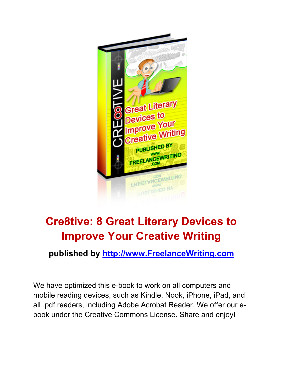

#### **Cre8tive: 8 Great Literary Devices to Improve Your Creative Writing**

**published by http://www.FreelanceWriting.com**

We have optimized this e-book to work on all computers and mobile reading devices, such as Kindle, Nook, iPhone, iPad, and all .pdf readers, including Adobe Acrobat Reader. We offer our ebook under the Creative Commons License. Share and enjoy!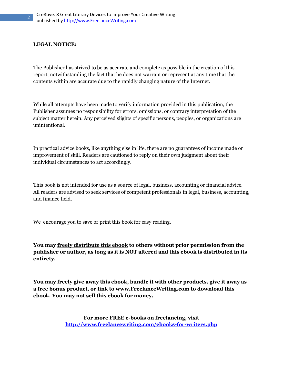#### **LEGAL NOTICE:**

2

The Publisher has strived to be as accurate and complete as possible in the creation of this report, notwithstanding the fact that he does not warrant or represent at any time that the contents within are accurate due to the rapidly changing nature of the Internet.

While all attempts have been made to verify information provided in this publication, the Publisher assumes no responsibility for errors, omissions, or contrary interpretation of the subject matter herein. Any perceived slights of specific persons, peoples, or organizations are unintentional.

In practical advice books, like anything else in life, there are no guarantees of income made or improvement of skill. Readers are cautioned to reply on their own judgment about their individual circumstances to act accordingly.

This book is not intended for use as a source of legal, business, accounting or financial advice. All readers are advised to seek services of competent professionals in legal, business, accounting, and finance field.

We encourage you to save or print this book for easy reading.

**You may freely distribute this ebook to others without prior permission from the publisher or author, as long as it is NOT altered and this ebook is distributed in its entirety.** 

**You may freely give away this ebook, bundle it with other products, give it away as a free bonus product, or link to www.FreelanceWriting.com to download this ebook. You may not sell this ebook for money.** 

> **For more FREE e-books on freelancing, visit http://www.freelancewriting.com/ebooks-for-writers.php**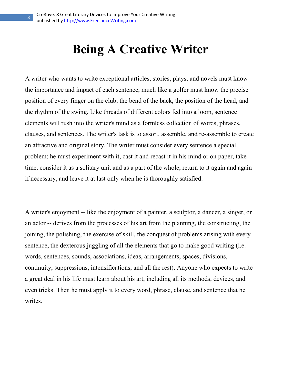3

# **Being A Creative Writer**

A writer who wants to write exceptional articles, stories, plays, and novels must know the importance and impact of each sentence, much like a golfer must know the precise position of every finger on the club, the bend of the back, the position of the head, and the rhythm of the swing. Like threads of different colors fed into a loom, sentence elements will rush into the writer's mind as a formless collection of words, phrases, clauses, and sentences. The writer's task is to assort, assemble, and re-assemble to create an attractive and original story. The writer must consider every sentence a special problem; he must experiment with it, cast it and recast it in his mind or on paper, take time, consider it as a solitary unit and as a part of the whole, return to it again and again if necessary, and leave it at last only when he is thoroughly satisfied.

A writer's enjoyment -- like the enjoyment of a painter, a sculptor, a dancer, a singer, or an actor -- derives from the processes of his art from the planning, the constructing, the joining, the polishing, the exercise of skill, the conquest of problems arising with every sentence, the dexterous juggling of all the elements that go to make good writing (i.e. words, sentences, sounds, associations, ideas, arrangements, spaces, divisions, continuity, suppressions, intensifications, and all the rest). Anyone who expects to write a great deal in his life must learn about his art, including all its methods, devices, and even tricks. Then he must apply it to every word, phrase, clause, and sentence that he writes.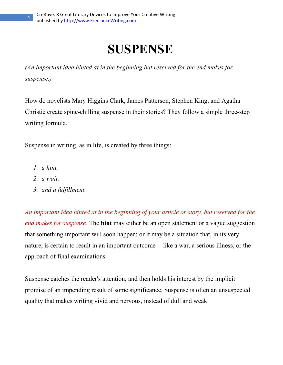### **SUSPENSE**

*(An important idea hinted at in the beginning but reserved for the end makes for suspense.)* 

How do novelists Mary Higgins Clark, James Patterson, Stephen King, and Agatha Christie create spine-chilling suspense in their stories? They follow a simple three-step writing formula.

Suspense in writing, as in life, is created by three things:

*1. a hint,* 

4

- *2. a wait,*
- *3. and a fulfillment.*

*An important idea hinted at in the beginning of your article or story, but reserved for the end makes for suspense.* The **hint** may either be an open statement or a vague suggestion that something important will soon happen; or it may be a situation that, in its very nature, is certain to result in an important outcome -- like a war, a serious illness, or the approach of final examinations.

Suspense catches the reader's attention, and then holds his interest by the implicit promise of an impending result of some significance. Suspense is often an unsuspected quality that makes writing vivid and nervous, instead of dull and weak.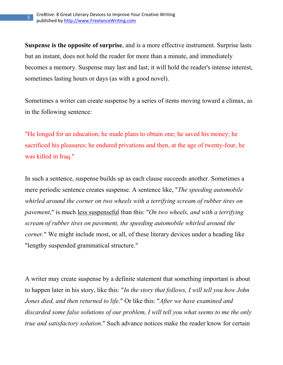5

**Suspense is the opposite of surprise**, and is a more effective instrument. Surprise lasts but an instant, does not hold the reader for more than a minute, and immediately becomes a memory. Suspense may last and last; it will hold the reader's intense interest, sometimes lasting hours or days (as with a good novel).

Sometimes a writer can create suspense by a series of items moving toward a climax, as in the following sentence:

"He longed for an education; he made plans to obtain one; he saved his money; he sacrificed his pleasures; he endured privations and then, at the age of twenty-four, he was killed in Iraq."

In such a sentence, suspense builds up as each clause succeeds another. Sometimes a mere periodic sentence creates suspense. A sentence like, "*The speeding automobile whirled around the corner on two wheels with a terrifying scream of rubber tires on pavement*," is much less suspenseful than this: "*On two wheels, and with a terrifying scream of rubber tires on pavement, the speeding automobile whirled around the corner.*" We might include most, or all, of these literary devices under a heading like "lengthy suspended grammatical structure."

A writer may create suspense by a definite statement that something important is about to happen later in his story, like this: "*In the story that follows, I will tell you how John Jones died, and then returned to life*." Or like this: "*After we have examined and discarded some false solutions of our problem, I will tell you what seems to me the only true and satisfactory solution*." Such advance notices make the reader know for certain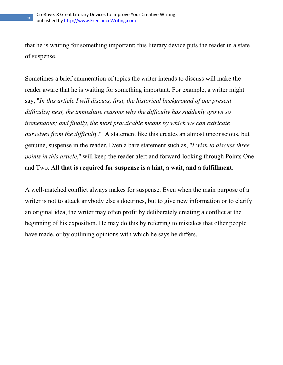6

that he is waiting for something important; this literary device puts the reader in a state of suspense.

Sometimes a brief enumeration of topics the writer intends to discuss will make the reader aware that he is waiting for something important. For example, a writer might say, "*In this article I will discuss, first, the historical background of our present difficulty; next, the immediate reasons why the difficulty has suddenly grown so tremendous; and finally, the most practicable means by which we can extricate ourselves from the difficulty*." A statement like this creates an almost unconscious, but genuine, suspense in the reader. Even a bare statement such as, "*I wish to discuss three points in this article*," will keep the reader alert and forward-looking through Points One and Two. **All that is required for suspense is a hint, a wait, and a fulfillment.**

A well-matched conflict always makes for suspense. Even when the main purpose of a writer is not to attack anybody else's doctrines, but to give new information or to clarify an original idea, the writer may often profit by deliberately creating a conflict at the beginning of his exposition. He may do this by referring to mistakes that other people have made, or by outlining opinions with which he says he differs.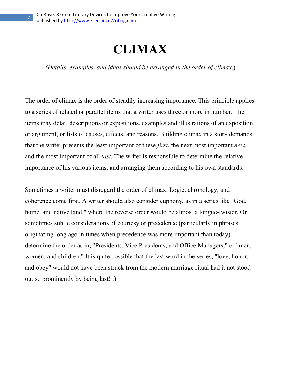#### **CLIMAX**

*(Details, examples, and ideas should be arranged in the order of climax*.)

The order of climax is the order of steadily increasing importance. This principle applies to a series of related or parallel items that a writer uses three or more in number. The items may detail descriptions or expositions, examples and illustrations of an exposition or argument, or lists of causes, effects, and reasons. Building climax in a story demands that the writer presents the least important of these *first*, the next most important *next*, and the most important of all *last*. The writer is responsible to determine the relative importance of his various items, and arranging them according to his own standards.

Sometimes a writer must disregard the order of climax. Logic, chronology, and coherence come first. A writer should also consider euphony, as in a series like "God, home, and native land," where the reverse order would be almost a tongue-twister. Or sometimes subtle considerations of courtesy or precedence (particularly in phrases originating long ago in times when precedence was more important than today) determine the order as in, "Presidents, Vice Presidents, and Office Managers," or "men, women, and children." It is quite possible that the last word in the series, "love, honor, and obey" would not have been struck from the modern marriage ritual had it not stood out so prominently by being last! :)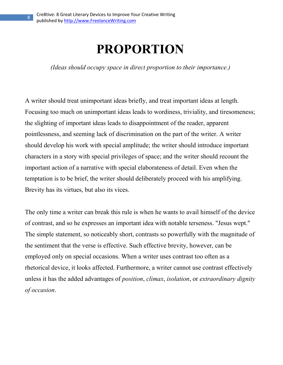8

# **PROPORTIO**

*(Ideas should occupy space in direct proportion to their importance.)* 

A writer should treat unimportant ideas briefly, and treat important ideas at length. Focusing too much on unimportant ideas leads to wordiness, triviality, and tiresomeness; the slighting of important ideas leads to disappointment of the reader, apparent pointlessness, and seeming lack of discrimination on the part of the writer. A writer should develop his work with special amplitude; the writer should introduce important characters in a story with special privileges of space; and the writer should recount the important action of a narrative with special elaborateness of detail. Even when the temptation is to be brief, the writer should deliberately proceed with his amplifying. Brevity has its virtues, but also its vices.

The only time a writer can break this rule is when he wants to avail himself of the device of contrast, and so he expresses an important idea with notable terseness. "Jesus wept." The simple statement, so noticeably short, contrasts so powerfully with the magnitude of the sentiment that the verse is effective. Such effective brevity, however, can be employed only on special occasions. When a writer uses contrast too often as a rhetorical device, it looks affected. Furthermore, a writer cannot use contrast effectively unless it has the added advantages of *position*, *climax*, *isolation*, or *extraordinary dignity of occasion*.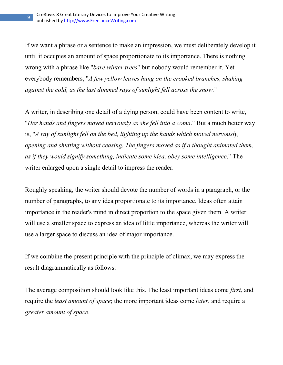9

If we want a phrase or a sentence to make an impression, we must deliberately develop it until it occupies an amount of space proportionate to its importance. There is nothing wrong with a phrase like "*bare winter trees*" but nobody would remember it. Yet everybody remembers, "*A few yellow leaves hung on the crooked branches, shaking against the cold, as the last dimmed rays of sunlight fell across the snow.*"

A writer, in describing one detail of a dying person, could have been content to write, "*Her hands and fingers moved nervously as she fell into a coma*." But a much better way is, "*A ray of sunlight fell on the bed, lighting up the hands which moved nervously, opening and shutting without ceasing. The fingers moved as if a thought animated them, as if they would signify something, indicate some idea, obey some intelligence*." The writer enlarged upon a single detail to impress the reader.

Roughly speaking, the writer should devote the number of words in a paragraph, or the number of paragraphs, to any idea proportionate to its importance. Ideas often attain importance in the reader's mind in direct proportion to the space given them. A writer will use a smaller space to express an idea of little importance, whereas the writer will use a larger space to discuss an idea of major importance.

If we combine the present principle with the principle of climax, we may express the result diagrammatically as follows:

The average composition should look like this. The least important ideas come *first*, and require the *least amount of space*; the more important ideas come *later*, and require a *greater amount of space*.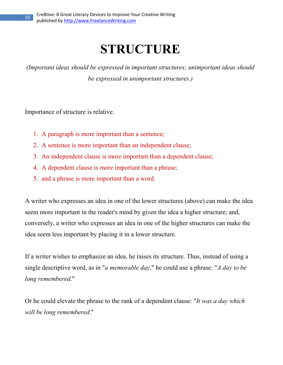# **STRUCTURE**

*(Important ideas should be expressed in important structures; unimportant ideas should be expressed in unimportant structures.)* 

Importance of structure is relative.

- 1. A paragraph is more important than a sentence;
- 2. A sentence is more important than an independent clause;
- 3. An independent clause is more important than a dependent clause;
- 4. A dependent clause is more important than a phrase;
- 5. and a phrase is more important than a word.

A writer who expresses an idea in one of the lower structures (above) can make the idea seem more important in the reader's mind by given the idea a higher structure; and, conversely, a writer who expresses an idea in one of the higher structures can make the idea seem less important by placing it in a lower structure.

If a writer wishes to emphasize an idea, he raises its structure. Thus, instead of using a single descriptive word, as in "*a memorable day*," he could use a phrase: "*A day to be long remembered*."

Or he could elevate the phrase to the rank of a dependent clause: "*It was a day which will be long remembered*."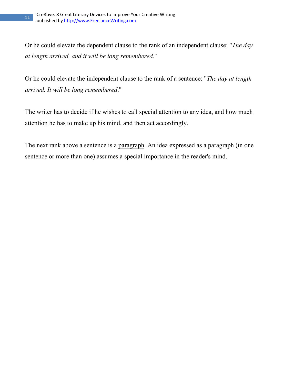Or he could elevate the dependent clause to the rank of an independent clause: "*The day at length arrived, and it will be long remembered*."

Or he could elevate the independent clause to the rank of a sentence: "*The day at length arrived. It will be long remembered*."

The writer has to decide if he wishes to call special attention to any idea, and how much attention he has to make up his mind, and then act accordingly.

The next rank above a sentence is a paragraph. An idea expressed as a paragraph (in one sentence or more than one) assumes a special importance in the reader's mind.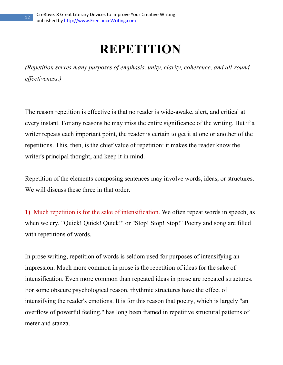# **REPETITIO**

*(Repetition serves many purposes of emphasis, unity, clarity, coherence, and all-round effectiveness.)* 

The reason repetition is effective is that no reader is wide-awake, alert, and critical at every instant. For any reasons he may miss the entire significance of the writing. But if a writer repeats each important point, the reader is certain to get it at one or another of the repetitions. This, then, is the chief value of repetition: it makes the reader know the writer's principal thought, and keep it in mind.

Repetition of the elements composing sentences may involve words, ideas, or structures. We will discuss these three in that order.

**1)** Much repetition is for the sake of intensification. We often repeat words in speech, as when we cry, "Quick! Quick! Quick!" or "Stop! Stop! Stop!" Poetry and song are filled with repetitions of words.

In prose writing, repetition of words is seldom used for purposes of intensifying an impression. Much more common in prose is the repetition of ideas for the sake of intensification. Even more common than repeated ideas in prose are repeated structures. For some obscure psychological reason, rhythmic structures have the effect of intensifying the reader's emotions. It is for this reason that poetry, which is largely "an overflow of powerful feeling," has long been framed in repetitive structural patterns of meter and stanza.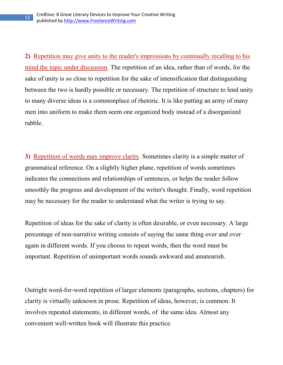**2)** Repetition may give unity to the reader's impressions by continually recalling to his mind the topic under discussion. The repetition of an idea, rather than of words, for the sake of unity is so close to repetition for the sake of intensification that distinguishing between the two is hardly possible or necessary. The repetition of structure to lend unity to many diverse ideas is a commonplace of rhetoric. It is like putting an army of many men into uniform to make them seem one organized body instead of a disorganized rabble.

**3)** Repetition of words may improve clarity. Sometimes clarity is a simple matter of grammatical reference. On a slightly higher plane, repetition of words sometimes indicates the connections and relationships of sentences, or helps the reader follow smoothly the progress and development of the writer's thought. Finally, word repetition may be necessary for the reader to understand what the writer is trying to say.

Repetition of ideas for the sake of clarity is often desirable, or even necessary. A large percentage of non-narrative writing consists of saying the same thing over and over again in different words. If you choose to repeat words, then the word must be important. Repetition of unimportant words sounds awkward and amateurish.

Outright word-for-word repetition of larger elements (paragraphs, sections, chapters) for clarity is virtually unknown in prose. Repetition of ideas, however, is common. It involves repeated statements, in different words, of the same idea. Almost any convenient well-written book will illustrate this practice.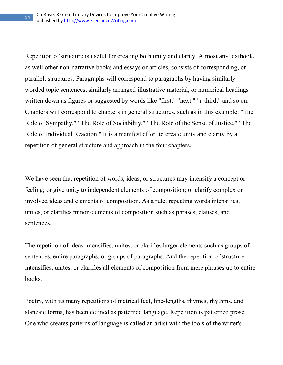Repetition of structure is useful for creating both unity and clarity. Almost any textbook, as well other non-narrative books and essays or articles, consists of corresponding, or parallel, structures. Paragraphs will correspond to paragraphs by having similarly worded topic sentences, similarly arranged illustrative material, or numerical headings written down as figures or suggested by words like "first," "next," "a third," and so on. Chapters will correspond to chapters in general structures, such as in this example: "The Role of Sympathy," "The Role of Sociability," "The Role of the Sense of Justice," "The Role of Individual Reaction." It is a manifest effort to create unity and clarity by a repetition of general structure and approach in the four chapters.

We have seen that repetition of words, ideas, or structures may intensify a concept or feeling; or give unity to independent elements of composition; or clarify complex or involved ideas and elements of composition. As a rule, repeating words intensifies, unites, or clarifies minor elements of composition such as phrases, clauses, and sentences.

The repetition of ideas intensifies, unites, or clarifies larger elements such as groups of sentences, entire paragraphs, or groups of paragraphs. And the repetition of structure intensifies, unites, or clarifies all elements of composition from mere phrases up to entire books.

Poetry, with its many repetitions of metrical feet, line-lengths, rhymes, rhythms, and stanzaic forms, has been defined as patterned language. Repetition is patterned prose. One who creates patterns of language is called an artist with the tools of the writer's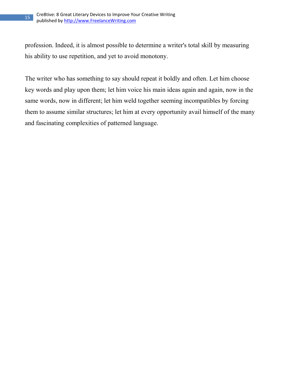profession. Indeed, it is almost possible to determine a writer's total skill by measuring his ability to use repetition, and yet to avoid monotony.

The writer who has something to say should repeat it boldly and often. Let him choose key words and play upon them; let him voice his main ideas again and again, now in the same words, now in different; let him weld together seeming incompatibles by forcing them to assume similar structures; let him at every opportunity avail himself of the many and fascinating complexities of patterned language.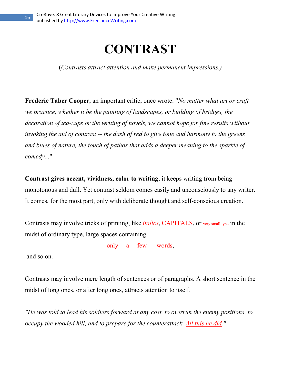### **COTRAST**

(*Contrasts attract attention and make permanent impressions.)* 

**Frederic Taber Cooper**, an important critic, once wrote: "*No matter what art or craft we practice, whether it be the painting of landscapes, or building of bridges, the decoration of tea-cups or the writing of novels, we cannot hope for fine results without invoking the aid of contrast -- the dash of red to give tone and harmony to the greens and blues of nature, the touch of pathos that adds a deeper meaning to the sparkle of comedy...*"

**Contrast gives accent, vividness, color to writing**; it keeps writing from being monotonous and dull. Yet contrast seldom comes easily and unconsciously to any writer. It comes, for the most part, only with deliberate thought and self-conscious creation.

Contrasts may involve tricks of printing, like *italics*, CAPITALS, or very small type in the midst of ordinary type, large spaces containing

only a few words,

and so on.

Contrasts may involve mere length of sentences or of paragraphs. A short sentence in the midst of long ones, or after long ones, attracts attention to itself.

*"He was told to lead his soldiers forward at any cost, to overrun the enemy positions, to occupy the wooded hill, and to prepare for the counterattack. All this he did."*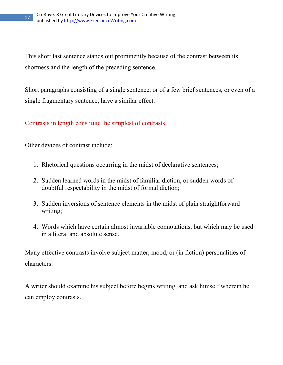This short last sentence stands out prominently because of the contrast between its shortness and the length of the preceding sentence.

Short paragraphs consisting of a single sentence, or of a few brief sentences, or even of a single fragmentary sentence, have a similar effect.

Contrasts in length constitute the simplest of contrasts.

Other devices of contrast include:

- 1. Rhetorical questions occurring in the midst of declarative sentences;
- 2. Sudden learned words in the midst of familiar diction, or sudden words of doubtful respectability in the midst of formal diction;
- 3. Sudden inversions of sentence elements in the midst of plain straightforward writing;
- 4. Words which have certain almost invariable connotations, but which may be used in a literal and absolute sense.

Many effective contrasts involve subject matter, mood, or (in fiction) personalities of characters.

A writer should examine his subject before begins writing, and ask himself wherein he can employ contrasts.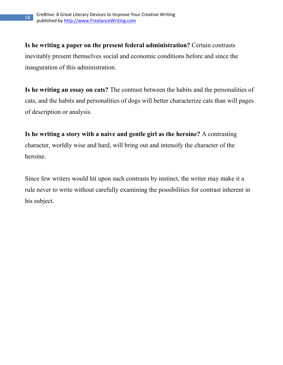**Is he writing a paper on the present federal administration?** Certain contrasts inevitably present themselves social and economic conditions before and since the inauguration of this administration.

**Is he writing an essay on cats?** The contrast between the habits and the personalities of cats, and the habits and personalities of dogs will better characterize cats than will pages of description or analysis.

**Is he writing a story with a naive and gentle girl as the heroine?** A contrasting character, worldly wise and hard, will bring out and intensify the character of the heroine.

Since few writers would hit upon such contrasts by instinct, the writer may make it a rule never to write without carefully examining the possibilities for contrast inherent in his subject.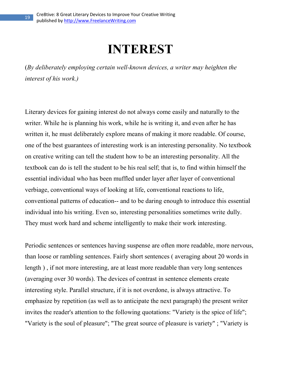#### **INTEREST**

(*By deliberately employing certain well-known devices, a writer may heighten the interest of his work.)* 

Literary devices for gaining interest do not always come easily and naturally to the writer. While he is planning his work, while he is writing it, and even after he has written it, he must deliberately explore means of making it more readable. Of course, one of the best guarantees of interesting work is an interesting personality. No textbook on creative writing can tell the student how to be an interesting personality. All the textbook can do is tell the student to be his real self; that is, to find within himself the essential individual who has been muffled under layer after layer of conventional verbiage, conventional ways of looking at life, conventional reactions to life, conventional patterns of education-- and to be daring enough to introduce this essential individual into his writing. Even so, interesting personalities sometimes write dully. They must work hard and scheme intelligently to make their work interesting.

Periodic sentences or sentences having suspense are often more readable, more nervous, than loose or rambling sentences. Fairly short sentences ( averaging about 20 words in length ) , if not more interesting, are at least more readable than very long sentences (averaging over 30 words). The devices of contrast in sentence elements create interesting style. Parallel structure, if it is not overdone, is always attractive. To emphasize by repetition (as well as to anticipate the next paragraph) the present writer invites the reader's attention to the following quotations: "Variety is the spice of life"; "Variety is the soul of pleasure"; "The great source of pleasure is variety" ; "Variety is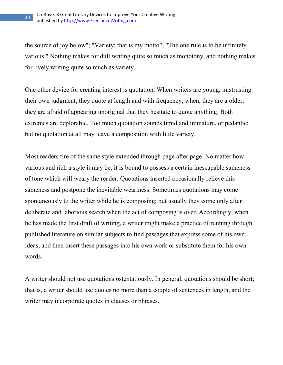the source of joy below"; "Variety: that is my motto"; "The one rule is to be infinitely various." Nothing makes for dull writing quite so much as monotony, and nothing makes for lively writing quite so much as variety.

One other device for creating interest is quotation. When writers are young, mistrusting their own judgment, they quote at length and with frequency; when, they are a older, they are afraid of appearing unoriginal that they hesitate to quote anything. Both extremes are deplorable. Too much quotation sounds timid and immature, or pedantic; but no quotation at all may leave a composition with little variety.

Most readers tire of the same style extended through page after page. No matter how various and rich a style it may be, it is bound to possess a certain inescapable sameness of tone which will weary the reader. Quotations inserted occasionally relieve this sameness and postpone the inevitable weariness. Sometimes quotations may come spontaneously to the writer while he is composing; but usually they come only after deliberate and laborious search when the act of composing is over. Accordingly, when he has made the first draft of writing, a writer might make a practice of running through published literature on similar subjects to find passages that express some of his own ideas, and then insert these passages into his own work or substitute them for his own words.

A writer should not use quotations ostentatiously. In general, quotations should be short; that is, a writer should use quotes no more than a couple of sentences in length, and the writer may incorporate quotes in clauses or phrases.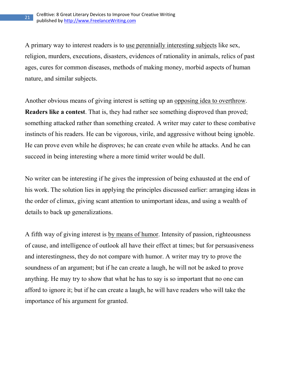A primary way to interest readers is to use perennially interesting subjects like sex, religion, murders, executions, disasters, evidences of rationality in animals, relics of past ages, cures for common diseases, methods of making money, morbid aspects of human nature, and similar subjects.

Another obvious means of giving interest is setting up an opposing idea to overthrow. **Readers like a contest**. That is, they had rather see something disproved than proved; something attacked rather than something created. A writer may cater to these combative instincts of his readers. He can be vigorous, virile, and aggressive without being ignoble. He can prove even while he disproves; he can create even while he attacks. And he can succeed in being interesting where a more timid writer would be dull.

No writer can be interesting if he gives the impression of being exhausted at the end of his work. The solution lies in applying the principles discussed earlier: arranging ideas in the order of climax, giving scant attention to unimportant ideas, and using a wealth of details to back up generalizations.

A fifth way of giving interest is by means of humor. Intensity of passion, righteousness of cause, and intelligence of outlook all have their effect at times; but for persuasiveness and interestingness, they do not compare with humor. A writer may try to prove the soundness of an argument; but if he can create a laugh, he will not be asked to prove anything. He may try to show that what he has to say is so important that no one can afford to ignore it; but if he can create a laugh, he will have readers who will take the importance of his argument for granted.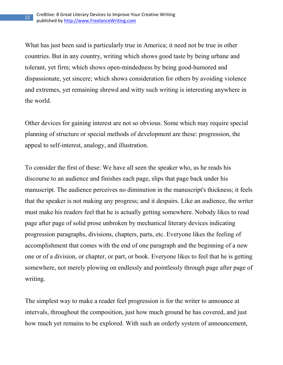What has just been said is particularly true in America; it need not be true in other countries. But in any country, writing which shows good taste by being urbane and tolerant, yet firm; which shows open-mindedness by being good-humored and dispassionate, yet sincere; which shows consideration for others by avoiding violence and extremes, yet remaining shrewd and witty such writing is interesting anywhere in the world.

Other devices for gaining interest are not so obvious. Some which may require special planning of structure or special methods of development are these: progression, the appeal to self-interest, analogy, and illustration.

To consider the first of these: We have all seen the speaker who, as he reads his discourse to an audience and finishes each page, slips that page back under his manuscript. The audience perceives no diminution in the manuscript's thickness; it feels that the speaker is not making any progress; and it despairs. Like an audience, the writer must make his readers feel that he is actually getting somewhere. Nobody likes to read page after page of solid prose unbroken by mechanical literary devices indicating progression paragraphs, divisions, chapters, parts, etc. Everyone likes the feeling of accomplishment that comes with the end of one paragraph and the beginning of a new one or of a division, or chapter, or part, or book. Everyone likes to feel that he is getting somewhere, not merely plowing on endlessly and pointlessly through page after page of writing.

The simplest way to make a reader feel progression is for the writer to announce at intervals, throughout the composition, just how much ground he has covered, and just how much yet remains to be explored. With such an orderly system of announcement,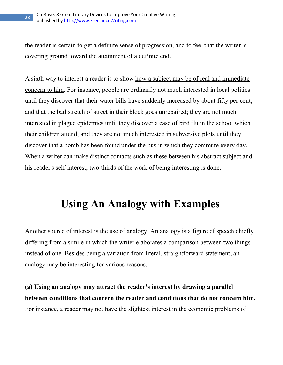the reader is certain to get a definite sense of progression, and to feel that the writer is covering ground toward the attainment of a definite end.

A sixth way to interest a reader is to show how a subject may be of real and immediate concern to him. For instance, people are ordinarily not much interested in local politics until they discover that their water bills have suddenly increased by about fifty per cent, and that the bad stretch of street in their block goes unrepaired; they are not much interested in plague epidemics until they discover a case of bird flu in the school which their children attend; and they are not much interested in subversive plots until they discover that a bomb has been found under the bus in which they commute every day. When a writer can make distinct contacts such as these between his abstract subject and his reader's self-interest, two-thirds of the work of being interesting is done.

#### **Using An Analogy with Examples**

Another source of interest is the use of analogy. An analogy is a figure of speech chiefly differing from a simile in which the writer elaborates a comparison between two things instead of one. Besides being a variation from literal, straightforward statement, an analogy may be interesting for various reasons.

**(a) Using an analogy may attract the reader's interest by drawing a parallel between conditions that concern the reader and conditions that do not concern him.** For instance, a reader may not have the slightest interest in the economic problems of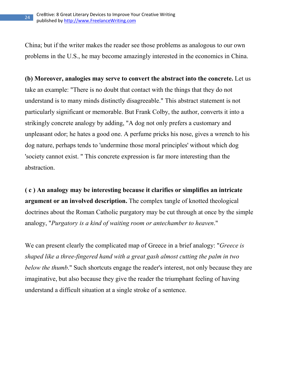China; but if the writer makes the reader see those problems as analogous to our own problems in the U.S., he may become amazingly interested in the economics in China.

**(b) Moreover, analogies may serve to convert the abstract into the concrete.** Let us take an example: "There is no doubt that contact with the things that they do not understand is to many minds distinctly disagreeable." This abstract statement is not particularly significant or memorable. But Frank Colby, the author, converts it into a strikingly concrete analogy by adding, "A dog not only prefers a customary and unpleasant odor; he hates a good one. A perfume pricks his nose, gives a wrench to his dog nature, perhaps tends to 'undermine those moral principles' without which dog 'society cannot exist. " This concrete expression is far more interesting than the abstraction.

**( c ) An analogy may be interesting because it clarifies or simplifies an intricate argument or an involved description.** The complex tangle of knotted theological doctrines about the Roman Catholic purgatory may be cut through at once by the simple analogy, "*Purgatory is a kind of waiting room or antechamber to heaven*."

We can present clearly the complicated map of Greece in a brief analogy: "*Greece is shaped like a three-fingered hand with a great gash almost cutting the palm in two below the thumb*." Such shortcuts engage the reader's interest, not only because they are imaginative, but also because they give the reader the triumphant feeling of having understand a difficult situation at a single stroke of a sentence.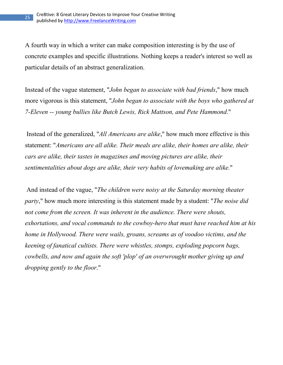A fourth way in which a writer can make composition interesting is by the use of concrete examples and specific illustrations. Nothing keeps a reader's interest so well as particular details of an abstract generalization.

Instead of the vague statement, "*John began to associate with bad friends*," how much more vigorous is this statement, "*John began to associate with the boys who gathered at 7-Eleven -- young bullies like Butch Lewis, Rick Mattson, and Pete Hammond*."

 Instead of the generalized, "*All Americans are alike*," how much more effective is this statement: "*Americans are all alike. Their meals are alike, their homes are alike, their cars are alike, their tastes in magazines and moving pictures are alike, their sentimentalities about dogs are alike, their very habits of lovemaking are alike.*"

 And instead of the vague, "*The children were noisy at the Saturday morning theater party*," how much more interesting is this statement made by a student: "*The noise did not come from the screen. It was inherent in the audience. There were shouts, exhortations, and vocal commands to the cowboy-hero that must have reached him at his home in Hollywood. There were wails, groans, screams as of voodoo victims, and the keening of fanatical cultists. There were whistles, stomps, exploding popcorn bags, cowbells, and now and again the soft 'plop' of an overwrought mother giving up and dropping gently to the floor*."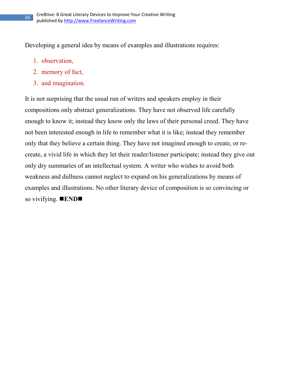Developing a general idea by means of examples and illustrations requires:

- 1. observation,
- 2. memory of fact,
- 3. and imagination.

It is not surprising that the usual run of writers and speakers employ in their compositions only abstract generalizations. They have not observed life carefully enough to know it; instead they know only the laws of their personal creed. They have not been interested enough in life to remember what it is like; instead they remember only that they believe a certain thing. They have not imagined enough to create, or recreate, a vivid life in which they let their reader/listener participate; instead they give out only dry summaries of an intellectual system. A writer who wishes to avoid both weakness and dullness cannot neglect to expand on his generalizations by means of examples and illustrations. No other literary device of composition is so convincing or so vivifying. **ED**